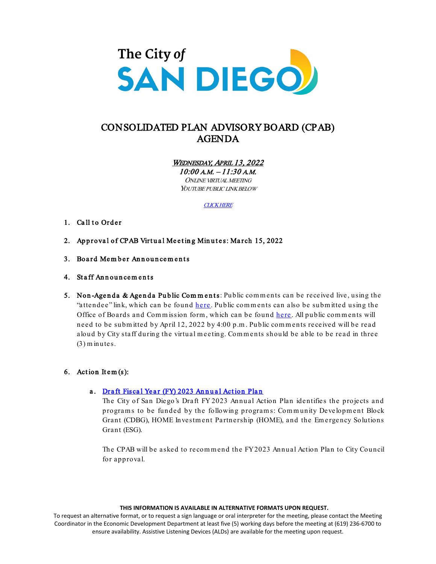

# CONSOLIDATED PLAN ADVISORY BOARD (CPAB) AGENDA

WEDNESDAY, APRIL 13, 2022

10:00 A.M. – 11:30 A.M. ONLINE VIRTUAL MEETING YOUTUBE PUBLIC LINK BELOW

[CLICK HERE](https://www.youtube.com/channel/UC-4gY2k1D1ikzb25QM-O3eg)

## 1. Call to Order

- 2. Approval of CPAB Virtual Meeting Minutes: March 15, 2022
- 3. Board Member Announcements
- 4. Staff Announcements
- 5. Non-Agenda & Agenda Public Comments: Public comments can be received live, using the "attendee" link, which can be found [here](https://sandiego.zoomgov.com/j/1612889234). Public comments can also be submitted using the Office of Boards and Commission form, which can be found [here](https://www.sandiego.gov/boards-and-commissions/public-comment). All public comments will need to be subm itted by April 12, 2022 by 4:00 p.m . Public com m ents received will be read aloud by City staff during the virtual m eeting. Com m ents should be able to be read in three (3) m inutes.

# 6. Action Item $(s)$ :

# a. Draft Fiscal Year (FY) 2023 Annual Action Plan

The City of San Diego's Draft FY 2023 Annual Action Plan identifies the projects and programs to be funded by the following programs: Community Development Block Grant (CDBG), HOME Investment Partnership (HOME), and the Emergency Solutions Grant (ESG).

The CPAB will be asked to recom m end the FY 2023 Annual Action Plan to City Council for approval.

#### **THIS INFORMATION IS AVAILABLE IN ALTERNATIVE FORMATS UPON REQUEST.**

To request an alternative format, or to request a sign language or oral interpreter for the meeting, please contact the Meeting Coordinator in the Economic Development Department at least five (5) working days before the meeting at (619) 236-6700 to ensure availability. Assistive Listening Devices (ALDs) are available for the meeting upon request.